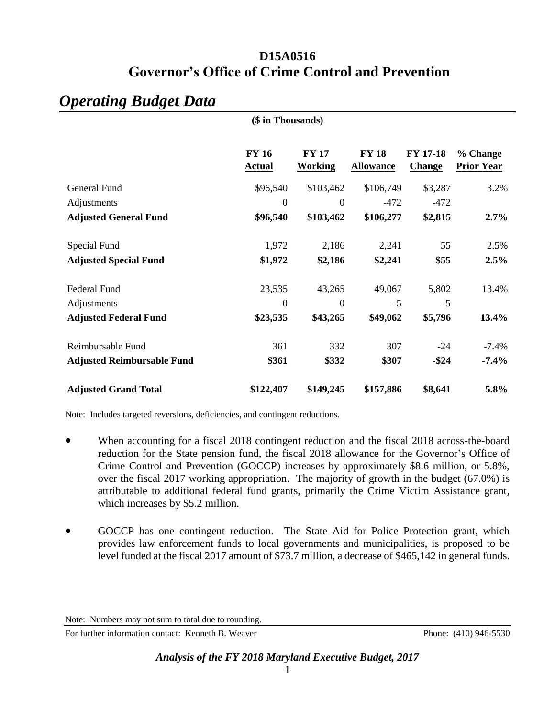# *Operating Budget Data*

|                                   | (\$ in Thousands)             |                                |                                  |                                  |                               |
|-----------------------------------|-------------------------------|--------------------------------|----------------------------------|----------------------------------|-------------------------------|
|                                   | <b>FY 16</b><br><b>Actual</b> | <b>FY 17</b><br><b>Working</b> | <b>FY 18</b><br><b>Allowance</b> | <b>FY 17-18</b><br><b>Change</b> | % Change<br><b>Prior Year</b> |
| General Fund                      | \$96,540                      | \$103,462                      | \$106,749                        | \$3,287                          | 3.2%                          |
| Adjustments                       | $\theta$                      | $\boldsymbol{0}$               | $-472$                           | $-472$                           |                               |
| <b>Adjusted General Fund</b>      | \$96,540                      | \$103,462                      | \$106,277                        | \$2,815                          | 2.7%                          |
| Special Fund                      | 1,972                         | 2,186                          | 2,241                            | 55                               | 2.5%                          |
| <b>Adjusted Special Fund</b>      | \$1,972                       | \$2,186                        | \$2,241                          | \$55                             | 2.5%                          |
| <b>Federal Fund</b>               | 23,535                        | 43,265                         | 49,067                           | 5,802                            | 13.4%                         |
| Adjustments                       | $\theta$                      | $\boldsymbol{0}$               | $-5$                             | $-5$                             |                               |
| <b>Adjusted Federal Fund</b>      | \$23,535                      | \$43,265                       | \$49,062                         | \$5,796                          | 13.4%                         |
| Reimbursable Fund                 | 361                           | 332                            | 307                              | $-24$                            | $-7.4%$                       |
| <b>Adjusted Reimbursable Fund</b> | \$361                         | \$332                          | \$307                            | $-$ \$24                         | $-7.4%$                       |
| <b>Adjusted Grand Total</b>       | \$122,407                     | \$149,245                      | \$157,886                        | \$8,641                          | 5.8%                          |

Note: Includes targeted reversions, deficiencies, and contingent reductions.

- When accounting for a fiscal 2018 contingent reduction and the fiscal 2018 across-the-board reduction for the State pension fund, the fiscal 2018 allowance for the Governor's Office of Crime Control and Prevention (GOCCP) increases by approximately \$8.6 million, or 5.8%, over the fiscal 2017 working appropriation. The majority of growth in the budget (67.0%) is attributable to additional federal fund grants, primarily the Crime Victim Assistance grant, which increases by \$5.2 million.
- GOCCP has one contingent reduction. The State Aid for Police Protection grant, which provides law enforcement funds to local governments and municipalities, is proposed to be level funded at the fiscal 2017 amount of \$73.7 million, a decrease of \$465,142 in general funds.

Note: Numbers may not sum to total due to rounding.

For further information contact: Kenneth B. Weaver Phone: (410) 946-5530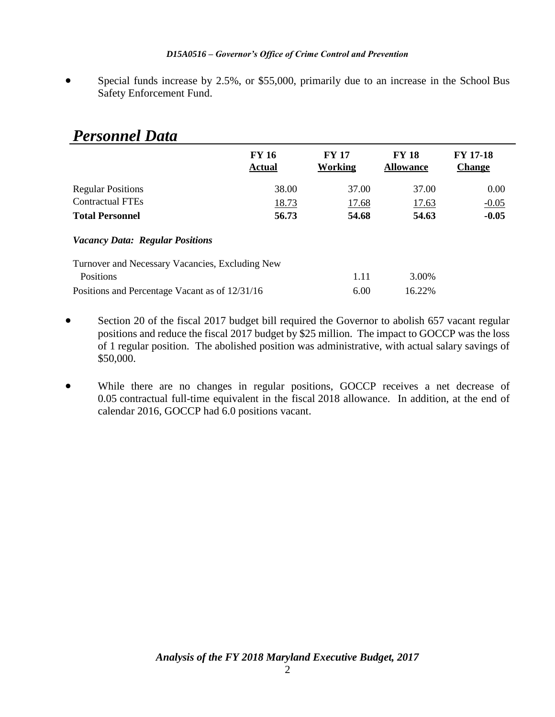Special funds increase by 2.5%, or \$55,000, primarily due to an increase in the School Bus Safety Enforcement Fund.

| I crsonnel Dulu                                 |                               |                         |                                  |                                  |
|-------------------------------------------------|-------------------------------|-------------------------|----------------------------------|----------------------------------|
|                                                 | <b>FY 16</b><br><b>Actual</b> | <b>FY 17</b><br>Working | <b>FY 18</b><br><b>Allowance</b> | <b>FY 17-18</b><br><b>Change</b> |
| <b>Regular Positions</b>                        | 38.00                         | 37.00                   | 37.00                            | 0.00                             |
| <b>Contractual FTEs</b>                         | 18.73                         | 17.68                   | 17.63                            | $-0.05$                          |
| <b>Total Personnel</b>                          | 56.73                         | 54.68                   | 54.63                            | $-0.05$                          |
| <b>Vacancy Data: Regular Positions</b>          |                               |                         |                                  |                                  |
| Turnover and Necessary Vacancies, Excluding New |                               |                         |                                  |                                  |
| Positions                                       |                               | 1.11                    | 3.00%                            |                                  |
| Positions and Percentage Vacant as of 12/31/16  |                               | 6.00                    | 16.22%                           |                                  |

*Personnel Data*

- Section 20 of the fiscal 2017 budget bill required the Governor to abolish 657 vacant regular positions and reduce the fiscal 2017 budget by \$25 million. The impact to GOCCP was the loss of 1 regular position. The abolished position was administrative, with actual salary savings of \$50,000.
- While there are no changes in regular positions, GOCCP receives a net decrease of 0.05 contractual full-time equivalent in the fiscal 2018 allowance. In addition, at the end of calendar 2016, GOCCP had 6.0 positions vacant.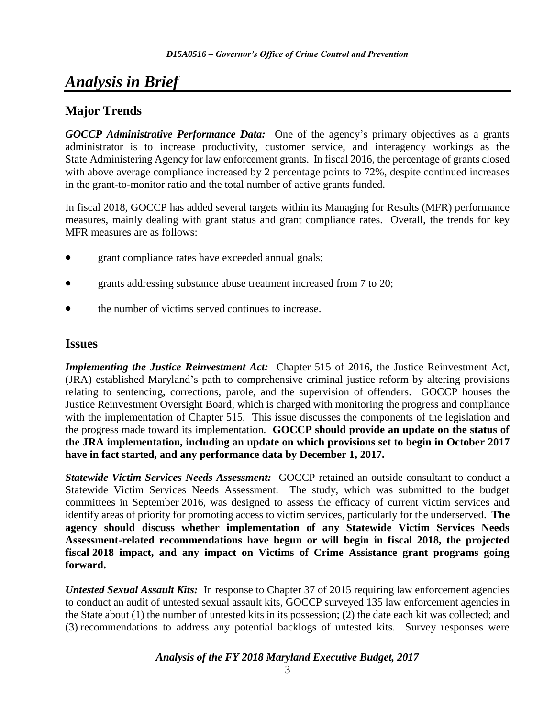# *Analysis in Brief*

## **Major Trends**

*GOCCP Administrative Performance Data:* One of the agency's primary objectives as a grants administrator is to increase productivity, customer service, and interagency workings as the State Administering Agency for law enforcement grants. In fiscal 2016, the percentage of grants closed with above average compliance increased by 2 percentage points to 72%, despite continued increases in the grant-to-monitor ratio and the total number of active grants funded.

In fiscal 2018, GOCCP has added several targets within its Managing for Results (MFR) performance measures, mainly dealing with grant status and grant compliance rates. Overall, the trends for key MFR measures are as follows:

- grant compliance rates have exceeded annual goals;
- grants addressing substance abuse treatment increased from 7 to 20;
- the number of victims served continues to increase.

#### **Issues**

*Implementing the Justice Reinvestment Act:* Chapter 515 of 2016, the Justice Reinvestment Act, (JRA) established Maryland's path to comprehensive criminal justice reform by altering provisions relating to sentencing, corrections, parole, and the supervision of offenders. GOCCP houses the Justice Reinvestment Oversight Board, which is charged with monitoring the progress and compliance with the implementation of Chapter 515. This issue discusses the components of the legislation and the progress made toward its implementation. **GOCCP should provide an update on the status of the JRA implementation, including an update on which provisions set to begin in October 2017 have in fact started, and any performance data by December 1, 2017.** 

*Statewide Victim Services Needs Assessment:* GOCCP retained an outside consultant to conduct a Statewide Victim Services Needs Assessment. The study, which was submitted to the budget committees in September 2016, was designed to assess the efficacy of current victim services and identify areas of priority for promoting access to victim services, particularly for the underserved. **The agency should discuss whether implementation of any Statewide Victim Services Needs Assessment-related recommendations have begun or will begin in fiscal 2018, the projected fiscal 2018 impact, and any impact on Victims of Crime Assistance grant programs going forward.**

*Untested Sexual Assault Kits:* In response to Chapter 37 of 2015 requiring law enforcement agencies to conduct an audit of untested sexual assault kits, GOCCP surveyed 135 law enforcement agencies in the State about (1) the number of untested kits in its possession; (2) the date each kit was collected; and (3) recommendations to address any potential backlogs of untested kits. Survey responses were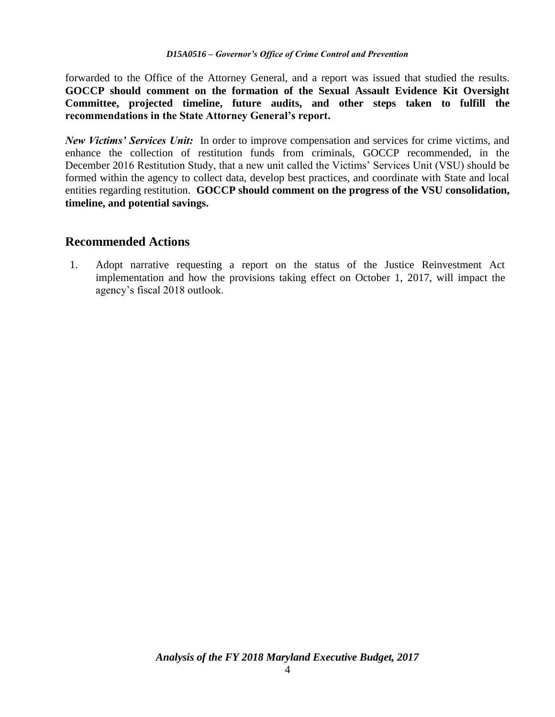forwarded to the Office of the Attorney General, and a report was issued that studied the results. **GOCCP should comment on the formation of the Sexual Assault Evidence Kit Oversight Committee, projected timeline, future audits, and other steps taken to fulfill the recommendations in the State Attorney General's report.**

*New Victims' Services Unit:* In order to improve compensation and services for crime victims, and enhance the collection of restitution funds from criminals, GOCCP recommended, in the December 2016 Restitution Study, that a new unit called the Victims' Services Unit (VSU) should be formed within the agency to collect data, develop best practices, and coordinate with State and local entities regarding restitution. **GOCCP should comment on the progress of the VSU consolidation, timeline, and potential savings.**

#### **Recommended Actions**

1. Adopt narrative requesting a report on the status of the Justice Reinvestment Act implementation and how the provisions taking effect on October 1, 2017, will impact the agency's fiscal 2018 outlook.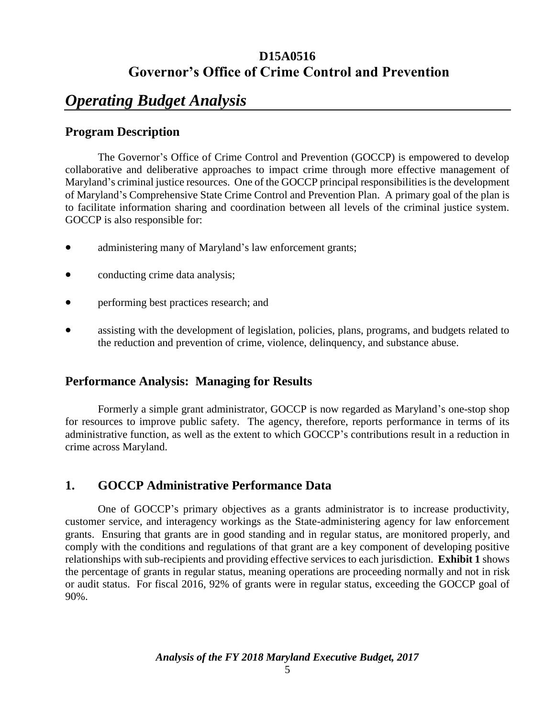# *Operating Budget Analysis*

### **Program Description**

The Governor's Office of Crime Control and Prevention (GOCCP) is empowered to develop collaborative and deliberative approaches to impact crime through more effective management of Maryland's criminal justice resources. One of the GOCCP principal responsibilities is the development of Maryland's Comprehensive State Crime Control and Prevention Plan. A primary goal of the plan is to facilitate information sharing and coordination between all levels of the criminal justice system. GOCCP is also responsible for:

- administering many of Maryland's law enforcement grants;
- conducting crime data analysis;
- performing best practices research; and
- assisting with the development of legislation, policies, plans, programs, and budgets related to the reduction and prevention of crime, violence, delinquency, and substance abuse.

### **Performance Analysis: Managing for Results**

Formerly a simple grant administrator, GOCCP is now regarded as Maryland's one-stop shop for resources to improve public safety. The agency, therefore, reports performance in terms of its administrative function, as well as the extent to which GOCCP's contributions result in a reduction in crime across Maryland.

### **1. GOCCP Administrative Performance Data**

One of GOCCP's primary objectives as a grants administrator is to increase productivity, customer service, and interagency workings as the State-administering agency for law enforcement grants. Ensuring that grants are in good standing and in regular status, are monitored properly, and comply with the conditions and regulations of that grant are a key component of developing positive relationships with sub-recipients and providing effective services to each jurisdiction. **Exhibit 1** shows the percentage of grants in regular status, meaning operations are proceeding normally and not in risk or audit status. For fiscal 2016, 92% of grants were in regular status, exceeding the GOCCP goal of 90%.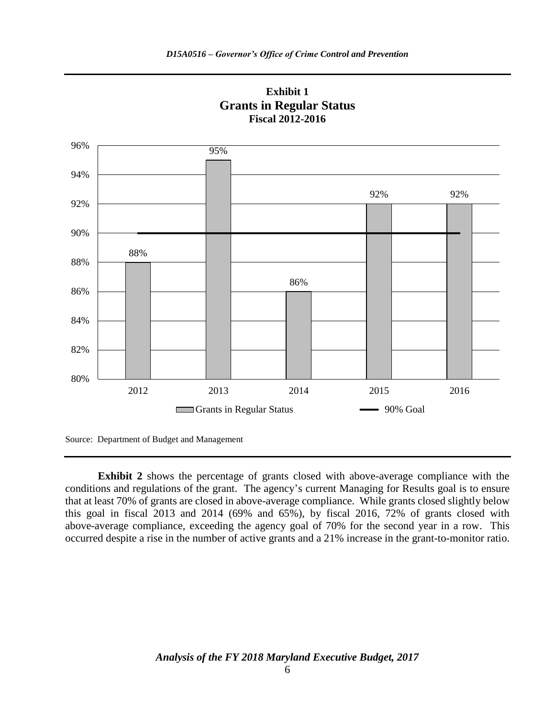



Source: Department of Budget and Management

**Exhibit 2** shows the percentage of grants closed with above-average compliance with the conditions and regulations of the grant. The agency's current Managing for Results goal is to ensure that at least 70% of grants are closed in above-average compliance. While grants closed slightly below this goal in fiscal 2013 and 2014 (69% and 65%), by fiscal 2016, 72% of grants closed with above-average compliance, exceeding the agency goal of 70% for the second year in a row. This occurred despite a rise in the number of active grants and a 21% increase in the grant-to-monitor ratio.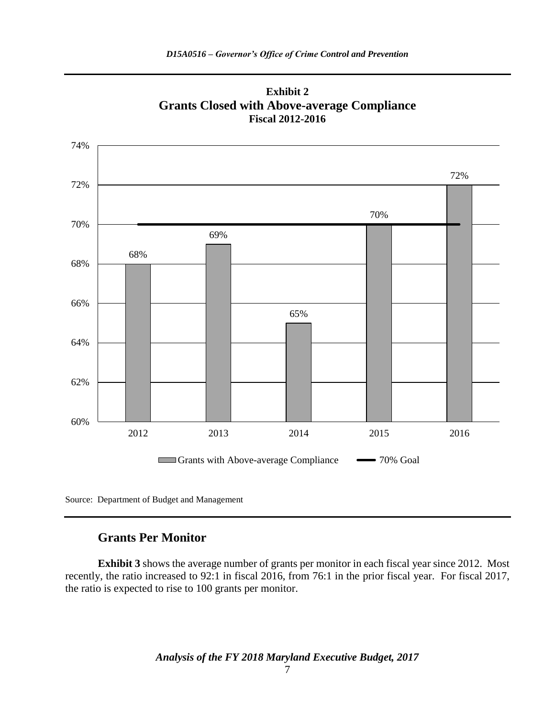



#### **Grants Per Monitor**

**Exhibit 3** shows the average number of grants per monitor in each fiscal year since 2012. Most recently, the ratio increased to 92:1 in fiscal 2016, from 76:1 in the prior fiscal year. For fiscal 2017, the ratio is expected to rise to 100 grants per monitor.

Source: Department of Budget and Management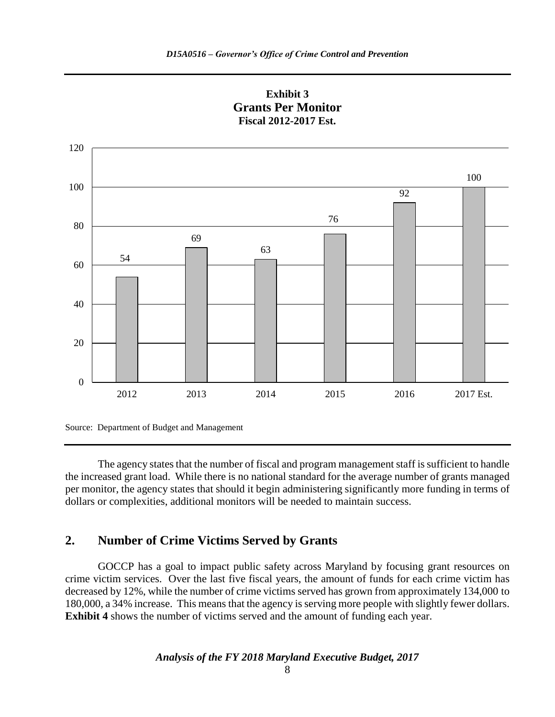



The agency states that the number of fiscal and program management staff is sufficient to handle the increased grant load. While there is no national standard for the average number of grants managed per monitor, the agency states that should it begin administering significantly more funding in terms of dollars or complexities, additional monitors will be needed to maintain success.

### **2. Number of Crime Victims Served by Grants**

GOCCP has a goal to impact public safety across Maryland by focusing grant resources on crime victim services. Over the last five fiscal years, the amount of funds for each crime victim has decreased by 12%, while the number of crime victims served has grown from approximately 134,000 to 180,000, a 34% increase. This means that the agency is serving more people with slightly fewer dollars. **Exhibit 4** shows the number of victims served and the amount of funding each year.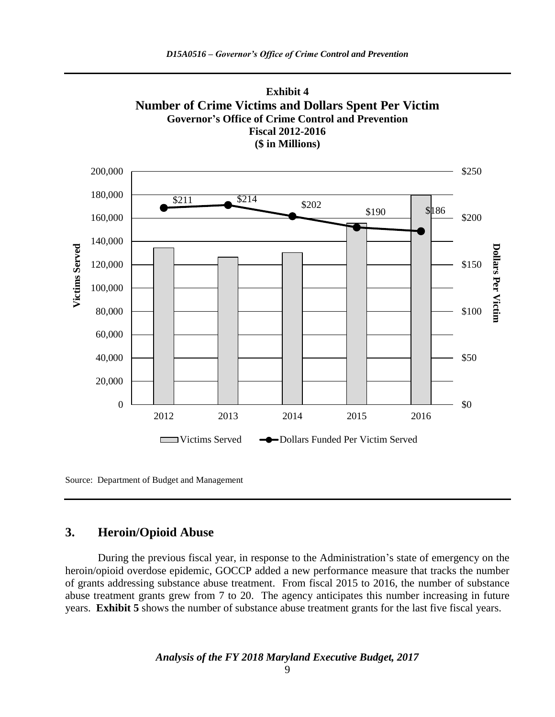



### **3. Heroin/Opioid Abuse**

During the previous fiscal year, in response to the Administration's state of emergency on the heroin/opioid overdose epidemic, GOCCP added a new performance measure that tracks the number of grants addressing substance abuse treatment. From fiscal 2015 to 2016, the number of substance abuse treatment grants grew from 7 to 20. The agency anticipates this number increasing in future years. **Exhibit 5** shows the number of substance abuse treatment grants for the last five fiscal years.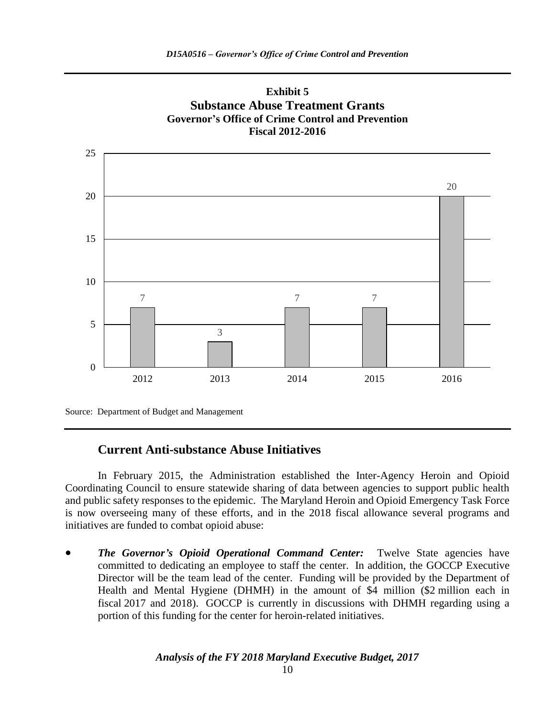

Source: Department of Budget and Management

### **Current Anti-substance Abuse Initiatives**

In February 2015, the Administration established the Inter-Agency Heroin and Opioid Coordinating Council to ensure statewide sharing of data between agencies to support public health and public safety responses to the epidemic. The Maryland Heroin and Opioid Emergency Task Force is now overseeing many of these efforts, and in the 2018 fiscal allowance several programs and initiatives are funded to combat opioid abuse:

 *The Governor's Opioid Operational Command Center:* Twelve State agencies have committed to dedicating an employee to staff the center. In addition, the GOCCP Executive Director will be the team lead of the center. Funding will be provided by the Department of Health and Mental Hygiene (DHMH) in the amount of \$4 million (\$2 million each in fiscal 2017 and 2018). GOCCP is currently in discussions with DHMH regarding using a portion of this funding for the center for heroin-related initiatives.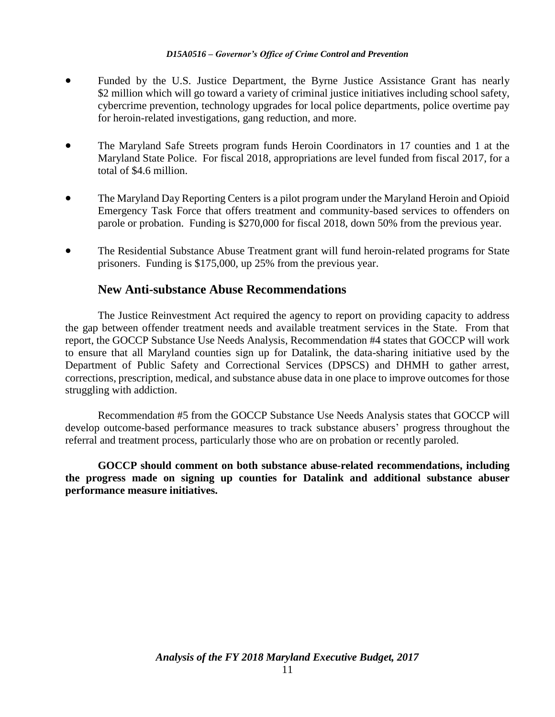- Funded by the U.S. Justice Department, the Byrne Justice Assistance Grant has nearly \$2 million which will go toward a variety of criminal justice initiatives including school safety, cybercrime prevention, technology upgrades for local police departments, police overtime pay for heroin-related investigations, gang reduction, and more.
- The Maryland Safe Streets program funds Heroin Coordinators in 17 counties and 1 at the Maryland State Police. For fiscal 2018, appropriations are level funded from fiscal 2017, for a total of \$4.6 million.
- The Maryland Day Reporting Centers is a pilot program under the Maryland Heroin and Opioid Emergency Task Force that offers treatment and community-based services to offenders on parole or probation. Funding is \$270,000 for fiscal 2018, down 50% from the previous year.
- The Residential Substance Abuse Treatment grant will fund heroin-related programs for State prisoners. Funding is \$175,000, up 25% from the previous year.

#### **New Anti-substance Abuse Recommendations**

The Justice Reinvestment Act required the agency to report on providing capacity to address the gap between offender treatment needs and available treatment services in the State. From that report, the GOCCP Substance Use Needs Analysis, Recommendation #4 states that GOCCP will work to ensure that all Maryland counties sign up for Datalink, the data-sharing initiative used by the Department of Public Safety and Correctional Services (DPSCS) and DHMH to gather arrest, corrections, prescription, medical, and substance abuse data in one place to improve outcomes for those struggling with addiction.

Recommendation #5 from the GOCCP Substance Use Needs Analysis states that GOCCP will develop outcome-based performance measures to track substance abusers' progress throughout the referral and treatment process, particularly those who are on probation or recently paroled.

**GOCCP should comment on both substance abuse-related recommendations, including the progress made on signing up counties for Datalink and additional substance abuser performance measure initiatives.**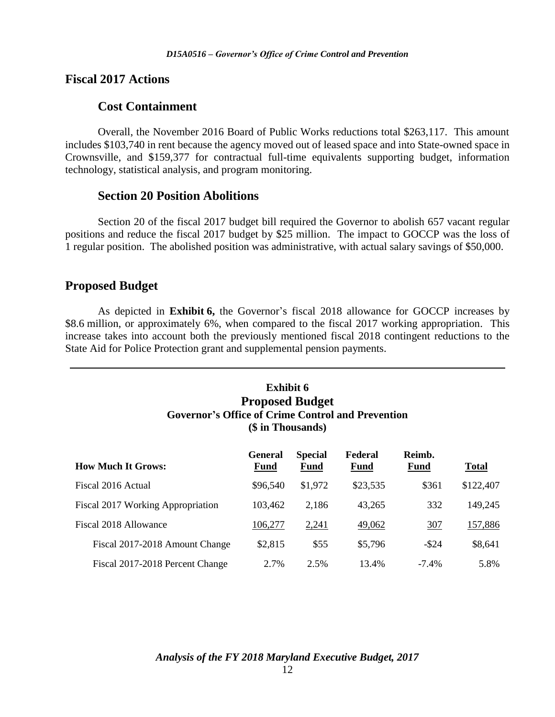#### **Fiscal 2017 Actions**

#### **Cost Containment**

Overall, the November 2016 Board of Public Works reductions total \$263,117. This amount includes \$103,740 in rent because the agency moved out of leased space and into State-owned space in Crownsville, and \$159,377 for contractual full-time equivalents supporting budget, information technology, statistical analysis, and program monitoring.

#### **Section 20 Position Abolitions**

Section 20 of the fiscal 2017 budget bill required the Governor to abolish 657 vacant regular positions and reduce the fiscal 2017 budget by \$25 million. The impact to GOCCP was the loss of 1 regular position. The abolished position was administrative, with actual salary savings of \$50,000.

#### **Proposed Budget**

As depicted in **Exhibit 6,** the Governor's fiscal 2018 allowance for GOCCP increases by \$8.6 million, or approximately 6%, when compared to the fiscal 2017 working appropriation. This increase takes into account both the previously mentioned fiscal 2018 contingent reductions to the State Aid for Police Protection grant and supplemental pension payments.

#### **Exhibit 6 Proposed Budget Governor's Office of Crime Control and Prevention (\$ in Thousands)**

| <b>How Much It Grows:</b>         | General<br><b>Fund</b> | <b>Special</b><br><b>Fund</b> | Federal<br><b>Fund</b> | Reimb.<br><b>Fund</b> | <b>Total</b> |
|-----------------------------------|------------------------|-------------------------------|------------------------|-----------------------|--------------|
| Fiscal 2016 Actual                | \$96,540               | \$1,972                       | \$23,535               | \$361                 | \$122,407    |
| Fiscal 2017 Working Appropriation | 103,462                | 2,186                         | 43,265                 | 332                   | 149,245      |
| Fiscal 2018 Allowance             | 106,277                | 2,241                         | 49,062                 | 307                   | 157,886      |
| Fiscal 2017-2018 Amount Change    | \$2,815                | \$55                          | \$5,796                | $-$ \$24              | \$8,641      |
| Fiscal 2017-2018 Percent Change   | 2.7%                   | 2.5%                          | 13.4%                  | $-7.4\%$              | 5.8%         |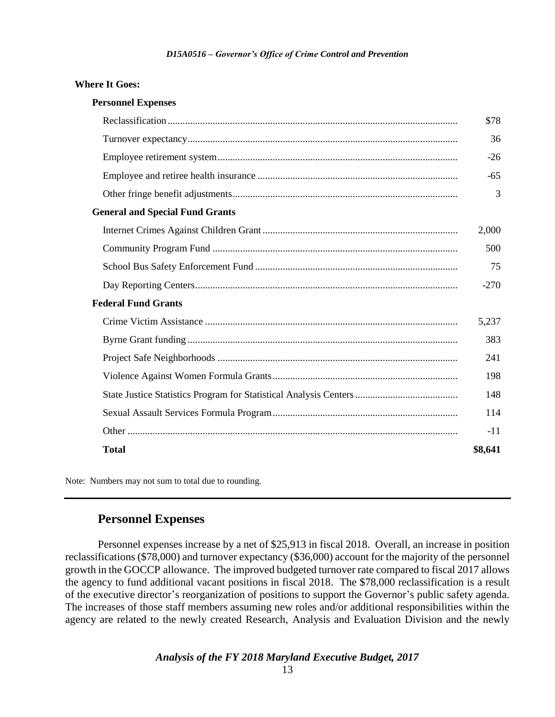#### **Where It Goes:**

#### **Personnel Expenses**

| <b>Total</b>                           | \$8,641 |
|----------------------------------------|---------|
|                                        | $-11$   |
|                                        | 114     |
|                                        | 148     |
|                                        | 198     |
|                                        | 241     |
|                                        | 383     |
|                                        | 5,237   |
| <b>Federal Fund Grants</b>             |         |
|                                        | $-270$  |
|                                        | 75      |
|                                        | 500     |
|                                        | 2,000   |
| <b>General and Special Fund Grants</b> |         |
|                                        | 3       |
|                                        | $-65$   |
|                                        | $-26$   |
|                                        | 36      |
|                                        | \$78    |

Note: Numbers may not sum to total due to rounding.

#### **Personnel Expenses**

Personnel expenses increase by a net of \$25,913 in fiscal 2018. Overall, an increase in position reclassifications (\$78,000) and turnover expectancy (\$36,000) account for the majority of the personnel growth in the GOCCP allowance. The improved budgeted turnover rate compared to fiscal 2017 allows the agency to fund additional vacant positions in fiscal 2018. The \$78,000 reclassification is a result of the executive director's reorganization of positions to support the Governor's public safety agenda. The increases of those staff members assuming new roles and/or additional responsibilities within the agency are related to the newly created Research, Analysis and Evaluation Division and the newly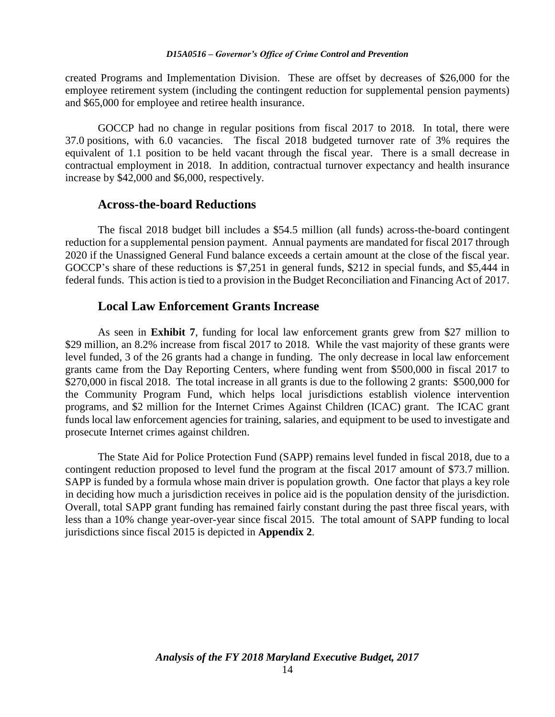created Programs and Implementation Division. These are offset by decreases of \$26,000 for the employee retirement system (including the contingent reduction for supplemental pension payments) and \$65,000 for employee and retiree health insurance.

GOCCP had no change in regular positions from fiscal 2017 to 2018. In total, there were 37.0 positions, with 6.0 vacancies. The fiscal 2018 budgeted turnover rate of 3% requires the equivalent of 1.1 position to be held vacant through the fiscal year. There is a small decrease in contractual employment in 2018. In addition, contractual turnover expectancy and health insurance increase by \$42,000 and \$6,000, respectively.

#### **Across-the-board Reductions**

The fiscal 2018 budget bill includes a \$54.5 million (all funds) across-the-board contingent reduction for a supplemental pension payment. Annual payments are mandated for fiscal 2017 through 2020 if the Unassigned General Fund balance exceeds a certain amount at the close of the fiscal year. GOCCP's share of these reductions is \$7,251 in general funds, \$212 in special funds, and \$5,444 in federal funds. This action is tied to a provision in the Budget Reconciliation and Financing Act of 2017.

### **Local Law Enforcement Grants Increase**

As seen in **Exhibit 7**, funding for local law enforcement grants grew from \$27 million to \$29 million, an 8.2% increase from fiscal 2017 to 2018. While the vast majority of these grants were level funded, 3 of the 26 grants had a change in funding. The only decrease in local law enforcement grants came from the Day Reporting Centers, where funding went from \$500,000 in fiscal 2017 to \$270,000 in fiscal 2018. The total increase in all grants is due to the following 2 grants: \$500,000 for the Community Program Fund, which helps local jurisdictions establish violence intervention programs, and \$2 million for the Internet Crimes Against Children (ICAC) grant. The ICAC grant funds local law enforcement agencies for training, salaries, and equipment to be used to investigate and prosecute Internet crimes against children.

The State Aid for Police Protection Fund (SAPP) remains level funded in fiscal 2018, due to a contingent reduction proposed to level fund the program at the fiscal 2017 amount of \$73.7 million. SAPP is funded by a formula whose main driver is population growth. One factor that plays a key role in deciding how much a jurisdiction receives in police aid is the population density of the jurisdiction. Overall, total SAPP grant funding has remained fairly constant during the past three fiscal years, with less than a 10% change year-over-year since fiscal 2015. The total amount of SAPP funding to local jurisdictions since fiscal 2015 is depicted in **Appendix 2**.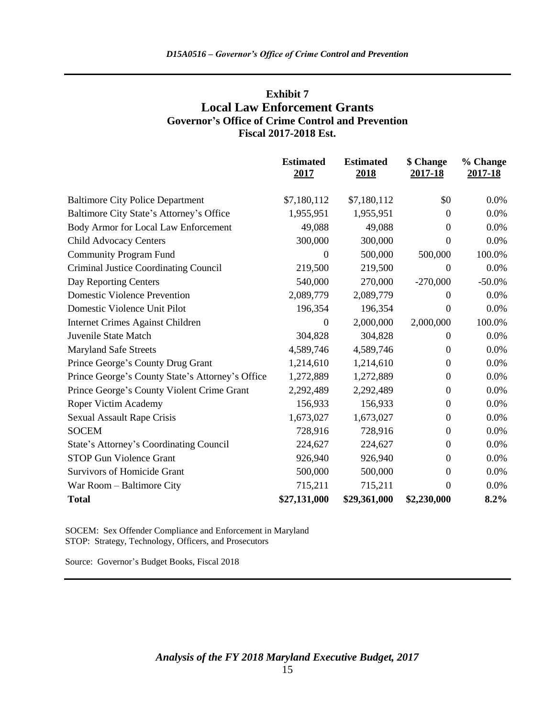#### **Exhibit 7 Local Law Enforcement Grants Governor's Office of Crime Control and Prevention Fiscal 2017-2018 Est.**

|                                                  | <b>Estimated</b><br>2017 | <b>Estimated</b><br>2018 | \$ Change<br>2017-18 | % Change<br>2017-18 |
|--------------------------------------------------|--------------------------|--------------------------|----------------------|---------------------|
| <b>Baltimore City Police Department</b>          | \$7,180,112              | \$7,180,112              | \$0                  | 0.0%                |
| Baltimore City State's Attorney's Office         | 1,955,951                | 1,955,951                | $\Omega$             | 0.0%                |
| Body Armor for Local Law Enforcement             | 49,088                   | 49,088                   | $\Omega$             | 0.0%                |
| <b>Child Advocacy Centers</b>                    | 300,000                  | 300,000                  | $\overline{0}$       | 0.0%                |
| <b>Community Program Fund</b>                    | $\overline{0}$           | 500,000                  | 500,000              | 100.0%              |
| Criminal Justice Coordinating Council            | 219,500                  | 219,500                  | $\overline{0}$       | 0.0%                |
| Day Reporting Centers                            | 540,000                  | 270,000                  | $-270,000$           | $-50.0\%$           |
| <b>Domestic Violence Prevention</b>              | 2,089,779                | 2,089,779                | 0                    | 0.0%                |
| Domestic Violence Unit Pilot                     | 196,354                  | 196,354                  | $\boldsymbol{0}$     | 0.0%                |
| Internet Crimes Against Children                 | $\boldsymbol{0}$         | 2,000,000                | 2,000,000            | 100.0%              |
| Juvenile State Match                             | 304,828                  | 304,828                  | $\Omega$             | 0.0%                |
| <b>Maryland Safe Streets</b>                     | 4,589,746                | 4,589,746                | $\Omega$             | 0.0%                |
| Prince George's County Drug Grant                | 1,214,610                | 1,214,610                | $\boldsymbol{0}$     | 0.0%                |
| Prince George's County State's Attorney's Office | 1,272,889                | 1,272,889                | $\overline{0}$       | 0.0%                |
| Prince George's County Violent Crime Grant       | 2,292,489                | 2,292,489                | $\boldsymbol{0}$     | 0.0%                |
| Roper Victim Academy                             | 156,933                  | 156,933                  | $\boldsymbol{0}$     | 0.0%                |
| <b>Sexual Assault Rape Crisis</b>                | 1,673,027                | 1,673,027                | $\boldsymbol{0}$     | 0.0%                |
| <b>SOCEM</b>                                     | 728,916                  | 728,916                  | $\boldsymbol{0}$     | 0.0%                |
| State's Attorney's Coordinating Council          | 224,627                  | 224,627                  | $\boldsymbol{0}$     | 0.0%                |
| <b>STOP Gun Violence Grant</b>                   | 926,940                  | 926,940                  | $\overline{0}$       | 0.0%                |
| <b>Survivors of Homicide Grant</b>               | 500,000                  | 500,000                  | $\boldsymbol{0}$     | 0.0%                |
| War Room - Baltimore City                        | 715,211                  | 715,211                  | $\theta$             | 0.0%                |
| <b>Total</b>                                     | \$27,131,000             | \$29,361,000             | \$2,230,000          | 8.2%                |

SOCEM: Sex Offender Compliance and Enforcement in Maryland STOP: Strategy, Technology, Officers, and Prosecutors

Source: Governor's Budget Books, Fiscal 2018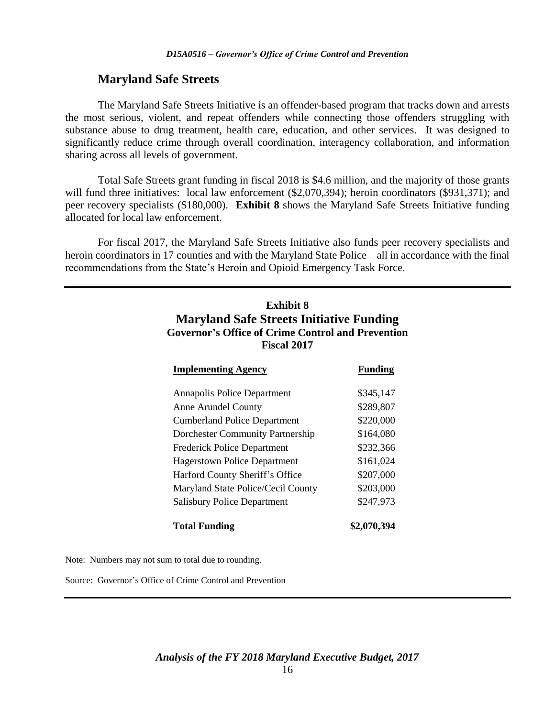#### **Maryland Safe Streets**

The Maryland Safe Streets Initiative is an offender-based program that tracks down and arrests the most serious, violent, and repeat offenders while connecting those offenders struggling with substance abuse to drug treatment, health care, education, and other services. It was designed to significantly reduce crime through overall coordination, interagency collaboration, and information sharing across all levels of government.

Total Safe Streets grant funding in fiscal 2018 is \$4.6 million, and the majority of those grants will fund three initiatives: local law enforcement (\$2,070,394); heroin coordinators (\$931,371); and peer recovery specialists (\$180,000). **Exhibit 8** shows the Maryland Safe Streets Initiative funding allocated for local law enforcement.

For fiscal 2017, the Maryland Safe Streets Initiative also funds peer recovery specialists and heroin coordinators in 17 counties and with the Maryland State Police – all in accordance with the final recommendations from the State's Heroin and Opioid Emergency Task Force.

### **Exhibit 8 Maryland Safe Streets Initiative Funding Governor's Office of Crime Control and Prevention Fiscal 2017**

| <b>Implementing Agency</b>              | <b>Funding</b> |
|-----------------------------------------|----------------|
| Annapolis Police Department             | \$345,147      |
| Anne Arundel County                     | \$289,807      |
| <b>Cumberland Police Department</b>     | \$220,000      |
| <b>Dorchester Community Partnership</b> | \$164,080      |
| <b>Frederick Police Department</b>      | \$232,366      |
| <b>Hagerstown Police Department</b>     | \$161,024      |
| Harford County Sheriff's Office         | \$207,000      |
| Maryland State Police/Cecil County      | \$203,000      |
| <b>Salisbury Police Department</b>      | \$247,973      |
| <b>Total Funding</b>                    | \$2,070,394    |

Note: Numbers may not sum to total due to rounding.

Source: Governor's Office of Crime Control and Prevention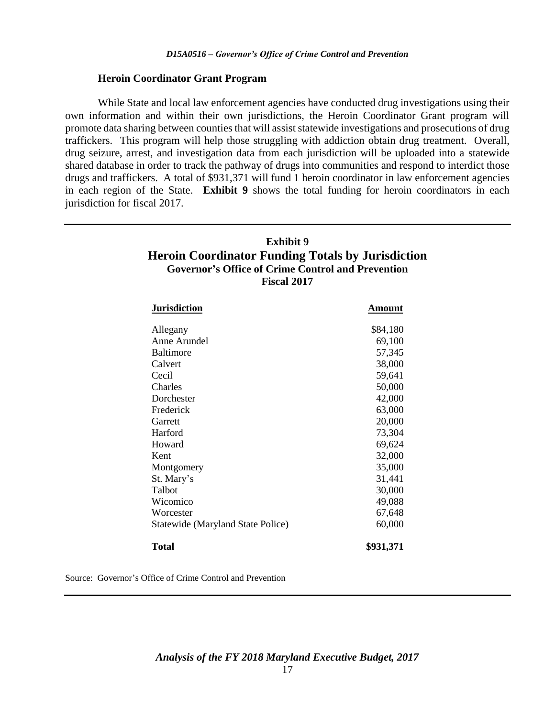#### **Heroin Coordinator Grant Program**

While State and local law enforcement agencies have conducted drug investigations using their own information and within their own jurisdictions, the Heroin Coordinator Grant program will promote data sharing between counties that will assist statewide investigations and prosecutions of drug traffickers. This program will help those struggling with addiction obtain drug treatment. Overall, drug seizure, arrest, and investigation data from each jurisdiction will be uploaded into a statewide shared database in order to track the pathway of drugs into communities and respond to interdict those drugs and traffickers. A total of \$931,371 will fund 1 heroin coordinator in law enforcement agencies in each region of the State. **Exhibit 9** shows the total funding for heroin coordinators in each jurisdiction for fiscal 2017.

#### **Exhibit 9 Heroin Coordinator Funding Totals by Jurisdiction Governor's Office of Crime Control and Prevention Fiscal 2017**

| Jurisdiction                             | <u>Amount</u> |
|------------------------------------------|---------------|
| Allegany                                 | \$84,180      |
| Anne Arundel                             | 69,100        |
| <b>Baltimore</b>                         | 57,345        |
| Calvert                                  | 38,000        |
| Cecil                                    | 59,641        |
| Charles                                  | 50,000        |
| Dorchester                               | 42,000        |
| Frederick                                | 63,000        |
| Garrett                                  | 20,000        |
| Harford                                  | 73,304        |
| Howard                                   | 69,624        |
| Kent                                     | 32,000        |
| Montgomery                               | 35,000        |
| St. Mary's                               | 31,441        |
| Talbot                                   | 30,000        |
| Wicomico                                 | 49,088        |
| Worcester                                | 67,648        |
| <b>Statewide (Maryland State Police)</b> | 60,000        |
| Total                                    | \$931,371     |

Source: Governor's Office of Crime Control and Prevention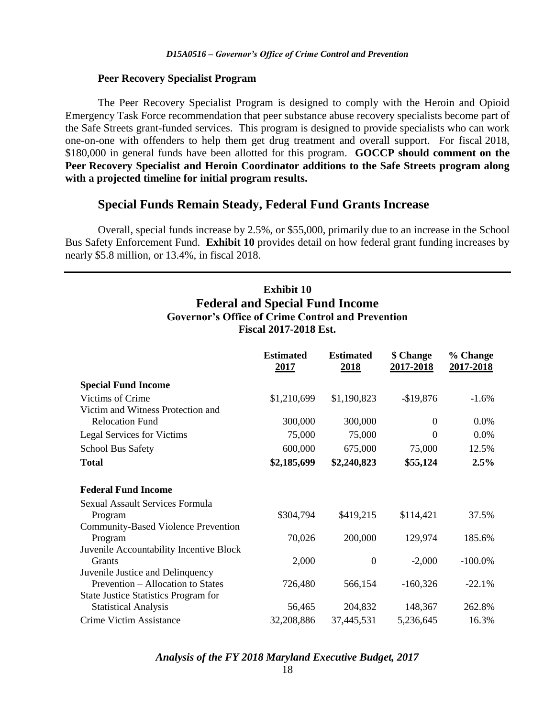#### **Peer Recovery Specialist Program**

The Peer Recovery Specialist Program is designed to comply with the Heroin and Opioid Emergency Task Force recommendation that peer substance abuse recovery specialists become part of the Safe Streets grant-funded services. This program is designed to provide specialists who can work one-on-one with offenders to help them get drug treatment and overall support. For fiscal 2018, \$180,000 in general funds have been allotted for this program. **GOCCP should comment on the Peer Recovery Specialist and Heroin Coordinator additions to the Safe Streets program along with a projected timeline for initial program results.**

#### **Special Funds Remain Steady, Federal Fund Grants Increase**

Overall, special funds increase by 2.5%, or \$55,000, primarily due to an increase in the School Bus Safety Enforcement Fund. **Exhibit 10** provides detail on how federal grant funding increases by nearly \$5.8 million, or 13.4%, in fiscal 2018.

#### **Exhibit 10 Federal and Special Fund Income Governor's Office of Crime Control and Prevention Fiscal 2017-2018 Est.**

|                                             | <b>Estimated</b><br><u>2017</u> | <b>Estimated</b><br>2018 | \$ Change<br>2017-2018 | % Change<br>2017-2018 |
|---------------------------------------------|---------------------------------|--------------------------|------------------------|-----------------------|
| <b>Special Fund Income</b>                  |                                 |                          |                        |                       |
| Victims of Crime                            | \$1,210,699                     | \$1,190,823              | $-$19,876$             | $-1.6%$               |
| Victim and Witness Protection and           |                                 |                          |                        |                       |
| <b>Relocation Fund</b>                      | 300,000                         | 300,000                  | $\Omega$               | $0.0\%$               |
| <b>Legal Services for Victims</b>           | 75,000                          | 75,000                   | $\Omega$               | 0.0%                  |
| <b>School Bus Safety</b>                    | 600,000                         | 675,000                  | 75,000                 | 12.5%                 |
| <b>Total</b>                                | \$2,185,699                     | \$2,240,823              | \$55,124               | 2.5%                  |
| <b>Federal Fund Income</b>                  |                                 |                          |                        |                       |
| <b>Sexual Assault Services Formula</b>      |                                 |                          |                        |                       |
| Program                                     | \$304,794                       | \$419,215                | \$114,421              | 37.5%                 |
| <b>Community-Based Violence Prevention</b>  |                                 |                          |                        |                       |
| Program                                     | 70,026                          | 200,000                  | 129,974                | 185.6%                |
| Juvenile Accountability Incentive Block     |                                 |                          |                        |                       |
| Grants                                      | 2,000                           | $\boldsymbol{0}$         | $-2,000$               | $-100.0\%$            |
| Juvenile Justice and Delinquency            |                                 |                          |                        |                       |
| Prevention – Allocation to States           | 726,480                         | 566,154                  | $-160,326$             | $-22.1%$              |
| <b>State Justice Statistics Program for</b> |                                 |                          |                        |                       |
| <b>Statistical Analysis</b>                 | 56,465                          | 204,832                  | 148,367                | 262.8%                |
| Crime Victim Assistance                     | 32,208,886                      | 37,445,531               | 5,236,645              | 16.3%                 |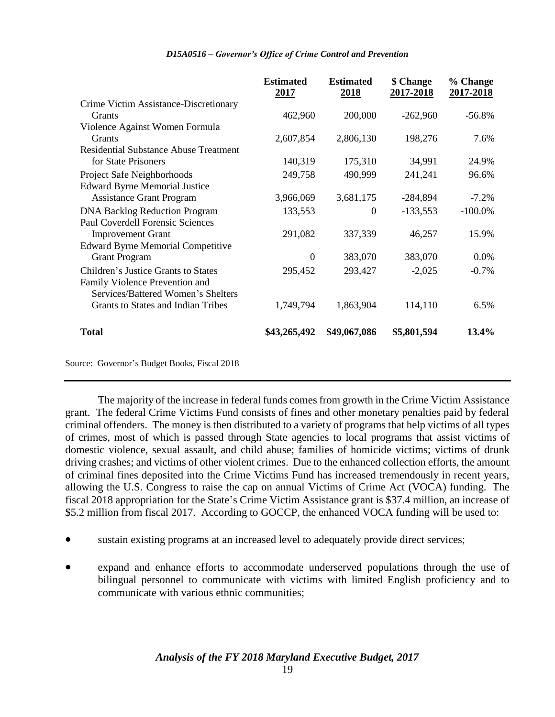|                                              | <b>Estimated</b><br>2017 | <b>Estimated</b><br>2018 | \$ Change<br>2017-2018 | % Change<br>2017-2018 |
|----------------------------------------------|--------------------------|--------------------------|------------------------|-----------------------|
| Crime Victim Assistance-Discretionary        |                          |                          |                        |                       |
| <b>Grants</b>                                | 462,960                  | 200,000                  | $-262,960$             | $-56.8%$              |
| Violence Against Women Formula               |                          |                          |                        |                       |
| <b>Grants</b>                                | 2,607,854                | 2,806,130                | 198,276                | 7.6%                  |
| <b>Residential Substance Abuse Treatment</b> |                          |                          |                        |                       |
| for State Prisoners                          | 140,319                  | 175,310                  | 34,991                 | 24.9%                 |
| Project Safe Neighborhoods                   | 249,758                  | 490,999                  | 241,241                | 96.6%                 |
| <b>Edward Byrne Memorial Justice</b>         |                          |                          |                        |                       |
| <b>Assistance Grant Program</b>              | 3,966,069                | 3,681,175                | $-284,894$             | $-7.2%$               |
| <b>DNA Backlog Reduction Program</b>         | 133,553                  | $\boldsymbol{0}$         | $-133,553$             | $-100.0\%$            |
| <b>Paul Coverdell Forensic Sciences</b>      |                          |                          |                        |                       |
| <b>Improvement Grant</b>                     | 291,082                  | 337,339                  | 46,257                 | 15.9%                 |
| <b>Edward Byrne Memorial Competitive</b>     |                          |                          |                        |                       |
| <b>Grant Program</b>                         | $\overline{0}$           | 383,070                  | 383,070                | 0.0%                  |
| Children's Justice Grants to States          | 295,452                  | 293,427                  | $-2,025$               | $-0.7%$               |
| Family Violence Prevention and               |                          |                          |                        |                       |
| Services/Battered Women's Shelters           |                          |                          |                        |                       |
| Grants to States and Indian Tribes           | 1,749,794                | 1,863,904                | 114,110                | 6.5%                  |
| <b>Total</b>                                 | \$43,265,492             | \$49,067,086             | \$5,801,594            | 13.4%                 |

Source: Governor's Budget Books, Fiscal 2018

The majority of the increase in federal funds comes from growth in the Crime Victim Assistance grant. The federal Crime Victims Fund consists of fines and other monetary penalties paid by federal criminal offenders. The money is then distributed to a variety of programs that help victims of all types of crimes, most of which is passed through State agencies to local programs that assist victims of domestic violence, sexual assault, and child abuse; families of homicide victims; victims of drunk driving crashes; and victims of other violent crimes. Due to the enhanced collection efforts, the amount of criminal fines deposited into the Crime Victims Fund has increased tremendously in recent years, allowing the U.S. Congress to raise the cap on annual Victims of Crime Act (VOCA) funding. The fiscal 2018 appropriation for the State's Crime Victim Assistance grant is \$37.4 million, an increase of \$5.2 million from fiscal 2017. According to GOCCP, the enhanced VOCA funding will be used to:

- sustain existing programs at an increased level to adequately provide direct services;
- expand and enhance efforts to accommodate underserved populations through the use of bilingual personnel to communicate with victims with limited English proficiency and to communicate with various ethnic communities;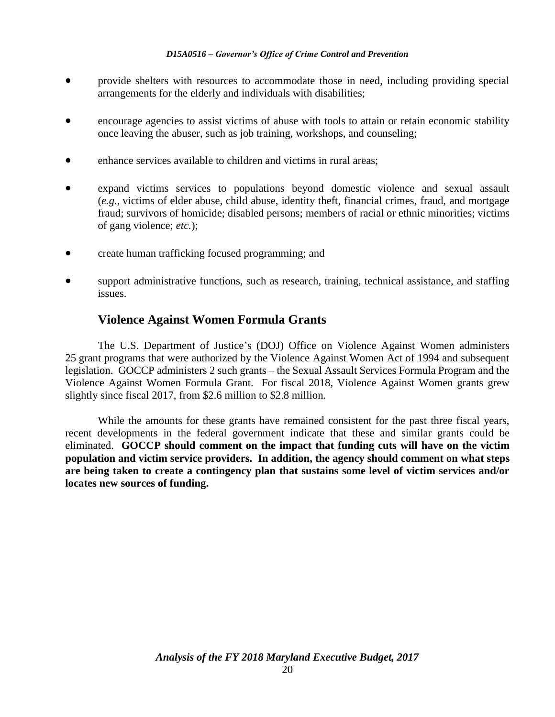- provide shelters with resources to accommodate those in need, including providing special arrangements for the elderly and individuals with disabilities;
- encourage agencies to assist victims of abuse with tools to attain or retain economic stability once leaving the abuser, such as job training, workshops, and counseling;
- enhance services available to children and victims in rural areas;
- expand victims services to populations beyond domestic violence and sexual assault (*e.g.*, victims of elder abuse, child abuse, identity theft, financial crimes, fraud, and mortgage fraud; survivors of homicide; disabled persons; members of racial or ethnic minorities; victims of gang violence; *etc.*);
- create human trafficking focused programming; and
- support administrative functions, such as research, training, technical assistance, and staffing issues.

### **Violence Against Women Formula Grants**

The U.S. Department of Justice's (DOJ) Office on Violence Against Women administers 25 grant programs that were authorized by the Violence Against Women Act of 1994 and subsequent legislation. GOCCP administers 2 such grants – the Sexual Assault Services Formula Program and the Violence Against Women Formula Grant. For fiscal 2018, Violence Against Women grants grew slightly since fiscal 2017, from \$2.6 million to \$2.8 million.

While the amounts for these grants have remained consistent for the past three fiscal years, recent developments in the federal government indicate that these and similar grants could be eliminated. **GOCCP should comment on the impact that funding cuts will have on the victim population and victim service providers. In addition, the agency should comment on what steps are being taken to create a contingency plan that sustains some level of victim services and/or locates new sources of funding.**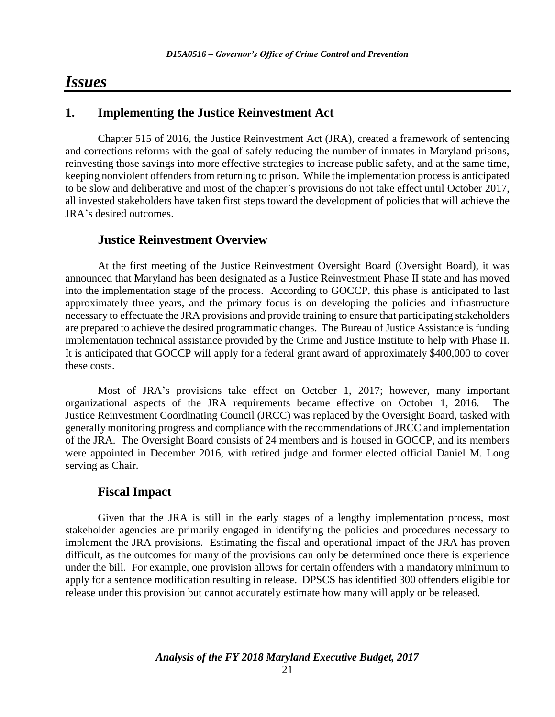## *Issues*

#### **1. Implementing the Justice Reinvestment Act**

Chapter 515 of 2016, the Justice Reinvestment Act (JRA), created a framework of sentencing and corrections reforms with the goal of safely reducing the number of inmates in Maryland prisons, reinvesting those savings into more effective strategies to increase public safety, and at the same time, keeping nonviolent offenders from returning to prison. While the implementation process is anticipated to be slow and deliberative and most of the chapter's provisions do not take effect until October 2017, all invested stakeholders have taken first steps toward the development of policies that will achieve the JRA's desired outcomes.

#### **Justice Reinvestment Overview**

At the first meeting of the Justice Reinvestment Oversight Board (Oversight Board), it was announced that Maryland has been designated as a Justice Reinvestment Phase II state and has moved into the implementation stage of the process. According to GOCCP, this phase is anticipated to last approximately three years, and the primary focus is on developing the policies and infrastructure necessary to effectuate the JRA provisions and provide training to ensure that participating stakeholders are prepared to achieve the desired programmatic changes. The Bureau of Justice Assistance is funding implementation technical assistance provided by the Crime and Justice Institute to help with Phase II. It is anticipated that GOCCP will apply for a federal grant award of approximately \$400,000 to cover these costs.

Most of JRA's provisions take effect on October 1, 2017; however, many important organizational aspects of the JRA requirements became effective on October 1, 2016. The Justice Reinvestment Coordinating Council (JRCC) was replaced by the Oversight Board, tasked with generally monitoring progress and compliance with the recommendations of JRCC and implementation of the JRA. The Oversight Board consists of 24 members and is housed in GOCCP, and its members were appointed in December 2016, with retired judge and former elected official Daniel M. Long serving as Chair.

#### **Fiscal Impact**

Given that the JRA is still in the early stages of a lengthy implementation process, most stakeholder agencies are primarily engaged in identifying the policies and procedures necessary to implement the JRA provisions. Estimating the fiscal and operational impact of the JRA has proven difficult, as the outcomes for many of the provisions can only be determined once there is experience under the bill. For example, one provision allows for certain offenders with a mandatory minimum to apply for a sentence modification resulting in release. DPSCS has identified 300 offenders eligible for release under this provision but cannot accurately estimate how many will apply or be released.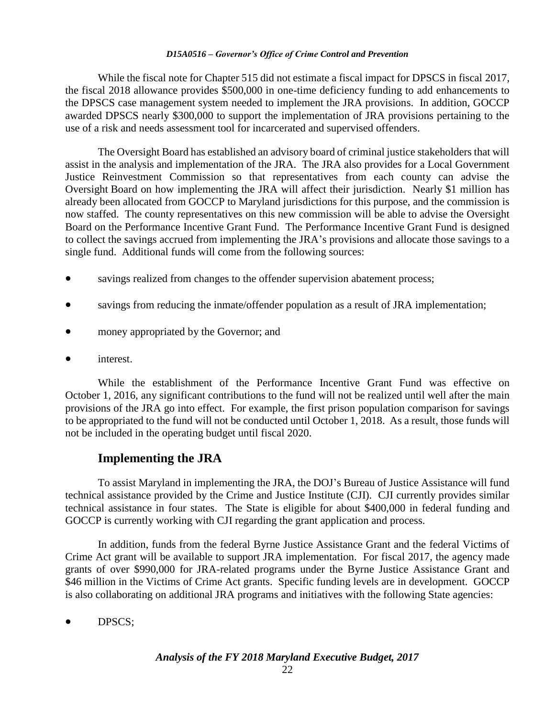While the fiscal note for Chapter 515 did not estimate a fiscal impact for DPSCS in fiscal 2017, the fiscal 2018 allowance provides \$500,000 in one-time deficiency funding to add enhancements to the DPSCS case management system needed to implement the JRA provisions. In addition, GOCCP awarded DPSCS nearly \$300,000 to support the implementation of JRA provisions pertaining to the use of a risk and needs assessment tool for incarcerated and supervised offenders.

The Oversight Board has established an advisory board of criminal justice stakeholders that will assist in the analysis and implementation of the JRA. The JRA also provides for a Local Government Justice Reinvestment Commission so that representatives from each county can advise the Oversight Board on how implementing the JRA will affect their jurisdiction. Nearly \$1 million has already been allocated from GOCCP to Maryland jurisdictions for this purpose, and the commission is now staffed. The county representatives on this new commission will be able to advise the Oversight Board on the Performance Incentive Grant Fund. The Performance Incentive Grant Fund is designed to collect the savings accrued from implementing the JRA's provisions and allocate those savings to a single fund. Additional funds will come from the following sources:

- savings realized from changes to the offender supervision abatement process;
- savings from reducing the inmate/offender population as a result of JRA implementation;
- money appropriated by the Governor; and
- interest.

While the establishment of the Performance Incentive Grant Fund was effective on October 1, 2016, any significant contributions to the fund will not be realized until well after the main provisions of the JRA go into effect. For example, the first prison population comparison for savings to be appropriated to the fund will not be conducted until October 1, 2018. As a result, those funds will not be included in the operating budget until fiscal 2020.

### **Implementing the JRA**

To assist Maryland in implementing the JRA, the DOJ's Bureau of Justice Assistance will fund technical assistance provided by the Crime and Justice Institute (CJI). CJI currently provides similar technical assistance in four states. The State is eligible for about \$400,000 in federal funding and GOCCP is currently working with CJI regarding the grant application and process.

In addition, funds from the federal Byrne Justice Assistance Grant and the federal Victims of Crime Act grant will be available to support JRA implementation. For fiscal 2017, the agency made grants of over \$990,000 for JRA-related programs under the Byrne Justice Assistance Grant and \$46 million in the Victims of Crime Act grants. Specific funding levels are in development. GOCCP is also collaborating on additional JRA programs and initiatives with the following State agencies:

DPSCS;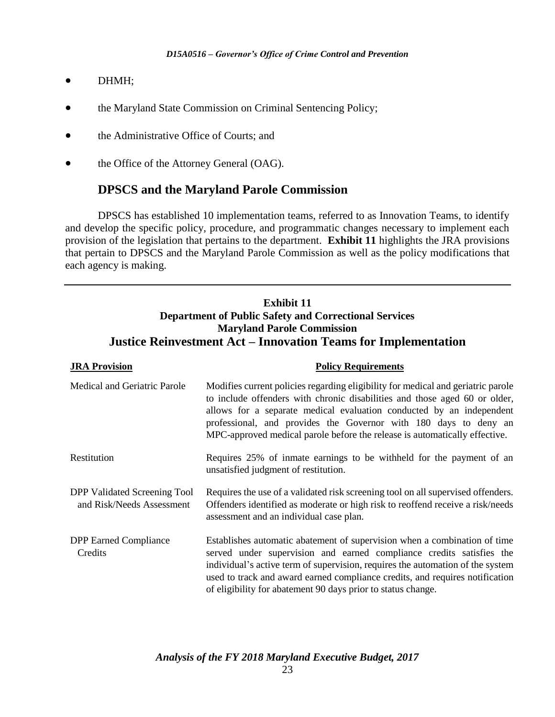- DHMH:
- the Maryland State Commission on Criminal Sentencing Policy;
- the Administrative Office of Courts; and
- the Office of the Attorney General (OAG).

### **DPSCS and the Maryland Parole Commission**

DPSCS has established 10 implementation teams, referred to as Innovation Teams, to identify and develop the specific policy, procedure, and programmatic changes necessary to implement each provision of the legislation that pertains to the department. **Exhibit 11** highlights the JRA provisions that pertain to DPSCS and the Maryland Parole Commission as well as the policy modifications that each agency is making.

#### **Exhibit 11 Department of Public Safety and Correctional Services Maryland Parole Commission Justice Reinvestment Act – Innovation Teams for Implementation**

| <b>JRA Provision</b>                                             | <b>Policy Requirements</b>                                                                                                                                                                                                                                                                                                                                                               |
|------------------------------------------------------------------|------------------------------------------------------------------------------------------------------------------------------------------------------------------------------------------------------------------------------------------------------------------------------------------------------------------------------------------------------------------------------------------|
| Medical and Geriatric Parole                                     | Modifies current policies regarding eligibility for medical and geriatric parole<br>to include offenders with chronic disabilities and those aged 60 or older,<br>allows for a separate medical evaluation conducted by an independent<br>professional, and provides the Governor with 180 days to deny an<br>MPC-approved medical parole before the release is automatically effective. |
| Restitution                                                      | Requires 25% of inmate earnings to be withheld for the payment of an<br>unsatisfied judgment of restitution.                                                                                                                                                                                                                                                                             |
| <b>DPP Validated Screening Tool</b><br>and Risk/Needs Assessment | Requires the use of a validated risk screening tool on all supervised offenders.<br>Offenders identified as moderate or high risk to reoffend receive a risk/needs<br>assessment and an individual case plan.                                                                                                                                                                            |
| <b>DPP Earned Compliance</b><br>Credits                          | Establishes automatic abatement of supervision when a combination of time<br>served under supervision and earned compliance credits satisfies the<br>individual's active term of supervision, requires the automation of the system<br>used to track and award earned compliance credits, and requires notification<br>of eligibility for abatement 90 days prior to status change.      |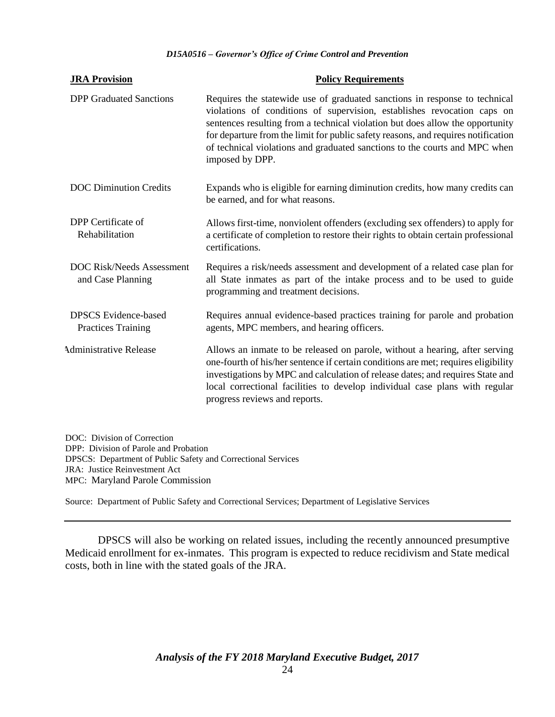| <b>JRA Provision</b>                                     | <b>Policy Requirements</b>                                                                                                                                                                                                                                                                                                                                                                                                   |
|----------------------------------------------------------|------------------------------------------------------------------------------------------------------------------------------------------------------------------------------------------------------------------------------------------------------------------------------------------------------------------------------------------------------------------------------------------------------------------------------|
| <b>DPP</b> Graduated Sanctions                           | Requires the statewide use of graduated sanctions in response to technical<br>violations of conditions of supervision, establishes revocation caps on<br>sentences resulting from a technical violation but does allow the opportunity<br>for departure from the limit for public safety reasons, and requires notification<br>of technical violations and graduated sanctions to the courts and MPC when<br>imposed by DPP. |
| <b>DOC Diminution Credits</b>                            | Expands who is eligible for earning diminution credits, how many credits can<br>be earned, and for what reasons.                                                                                                                                                                                                                                                                                                             |
| DPP Certificate of<br>Rehabilitation                     | Allows first-time, nonviolent offenders (excluding sex offenders) to apply for<br>a certificate of completion to restore their rights to obtain certain professional<br>certifications.                                                                                                                                                                                                                                      |
| DOC Risk/Needs Assessment<br>and Case Planning           | Requires a risk/needs assessment and development of a related case plan for<br>all State inmates as part of the intake process and to be used to guide<br>programming and treatment decisions.                                                                                                                                                                                                                               |
| <b>DPSCS</b> Evidence-based<br><b>Practices Training</b> | Requires annual evidence-based practices training for parole and probation<br>agents, MPC members, and hearing officers.                                                                                                                                                                                                                                                                                                     |
| <b>Administrative Release</b>                            | Allows an inmate to be released on parole, without a hearing, after serving<br>one-fourth of his/her sentence if certain conditions are met; requires eligibility<br>investigations by MPC and calculation of release dates; and requires State and<br>local correctional facilities to develop individual case plans with regular<br>progress reviews and reports.                                                          |

DOC: Division of Correction DPP: Division of Parole and Probation DPSCS: Department of Public Safety and Correctional Services JRA: Justice Reinvestment Act MPC: Maryland Parole Commission

Source: Department of Public Safety and Correctional Services; Department of Legislative Services

DPSCS will also be working on related issues, including the recently announced presumptive Medicaid enrollment for ex-inmates. This program is expected to reduce recidivism and State medical costs, both in line with the stated goals of the JRA.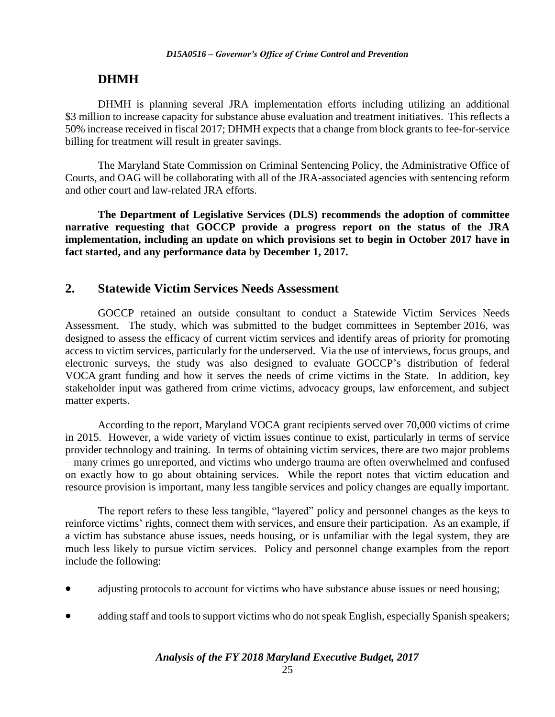### **DHMH**

DHMH is planning several JRA implementation efforts including utilizing an additional \$3 million to increase capacity for substance abuse evaluation and treatment initiatives. This reflects a 50% increase received in fiscal 2017; DHMH expects that a change from block grants to fee-for-service billing for treatment will result in greater savings.

The Maryland State Commission on Criminal Sentencing Policy, the Administrative Office of Courts, and OAG will be collaborating with all of the JRA-associated agencies with sentencing reform and other court and law-related JRA efforts.

**The Department of Legislative Services (DLS) recommends the adoption of committee narrative requesting that GOCCP provide a progress report on the status of the JRA implementation, including an update on which provisions set to begin in October 2017 have in fact started, and any performance data by December 1, 2017.** 

#### **2. Statewide Victim Services Needs Assessment**

GOCCP retained an outside consultant to conduct a Statewide Victim Services Needs Assessment. The study, which was submitted to the budget committees in September 2016, was designed to assess the efficacy of current victim services and identify areas of priority for promoting access to victim services, particularly for the underserved. Via the use of interviews, focus groups, and electronic surveys, the study was also designed to evaluate GOCCP's distribution of federal VOCA grant funding and how it serves the needs of crime victims in the State. In addition, key stakeholder input was gathered from crime victims, advocacy groups, law enforcement, and subject matter experts.

According to the report, Maryland VOCA grant recipients served over 70,000 victims of crime in 2015. However, a wide variety of victim issues continue to exist, particularly in terms of service provider technology and training. In terms of obtaining victim services, there are two major problems – many crimes go unreported, and victims who undergo trauma are often overwhelmed and confused on exactly how to go about obtaining services. While the report notes that victim education and resource provision is important, many less tangible services and policy changes are equally important.

The report refers to these less tangible, "layered" policy and personnel changes as the keys to reinforce victims' rights, connect them with services, and ensure their participation. As an example, if a victim has substance abuse issues, needs housing, or is unfamiliar with the legal system, they are much less likely to pursue victim services. Policy and personnel change examples from the report include the following:

- adjusting protocols to account for victims who have substance abuse issues or need housing;
- adding staff and tools to support victims who do not speak English, especially Spanish speakers;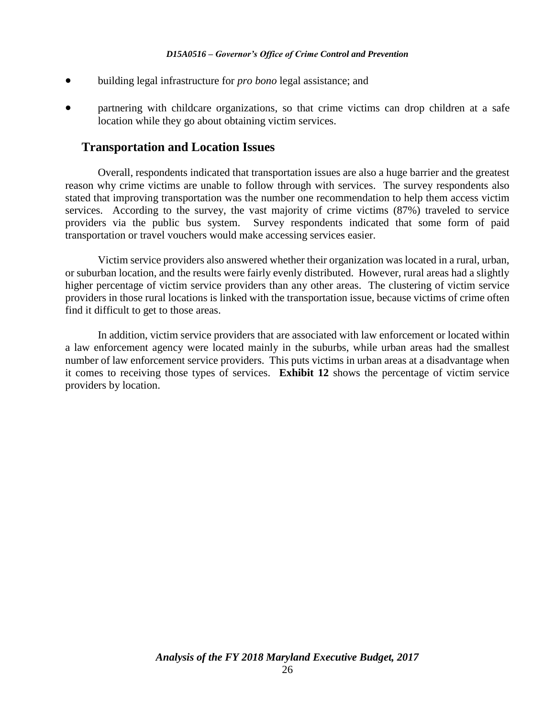- building legal infrastructure for *pro bono* legal assistance; and
- partnering with childcare organizations, so that crime victims can drop children at a safe location while they go about obtaining victim services.

### **Transportation and Location Issues**

Overall, respondents indicated that transportation issues are also a huge barrier and the greatest reason why crime victims are unable to follow through with services. The survey respondents also stated that improving transportation was the number one recommendation to help them access victim services. According to the survey, the vast majority of crime victims (87%) traveled to service providers via the public bus system. Survey respondents indicated that some form of paid transportation or travel vouchers would make accessing services easier.

Victim service providers also answered whether their organization was located in a rural, urban, or suburban location, and the results were fairly evenly distributed. However, rural areas had a slightly higher percentage of victim service providers than any other areas. The clustering of victim service providers in those rural locations is linked with the transportation issue, because victims of crime often find it difficult to get to those areas.

In addition, victim service providers that are associated with law enforcement or located within a law enforcement agency were located mainly in the suburbs, while urban areas had the smallest number of law enforcement service providers. This puts victims in urban areas at a disadvantage when it comes to receiving those types of services. **Exhibit 12** shows the percentage of victim service providers by location.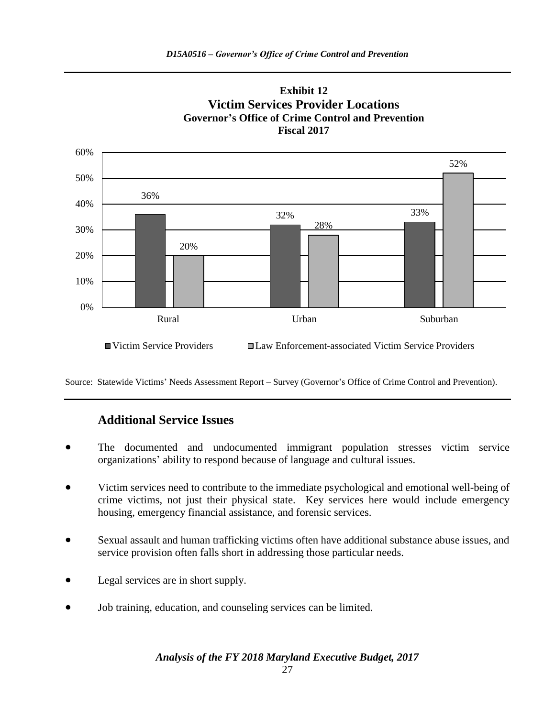

**Exhibit 12 Victim Services Provider Locations Governor's Office of Crime Control and Prevention**

Source: Statewide Victims' Needs Assessment Report – Survey (Governor's Office of Crime Control and Prevention).

## **Additional Service Issues**

- The documented and undocumented immigrant population stresses victim service organizations' ability to respond because of language and cultural issues.
- Victim services need to contribute to the immediate psychological and emotional well-being of crime victims, not just their physical state. Key services here would include emergency housing, emergency financial assistance, and forensic services.
- Sexual assault and human trafficking victims often have additional substance abuse issues, and service provision often falls short in addressing those particular needs.
- Legal services are in short supply.
- Job training, education, and counseling services can be limited.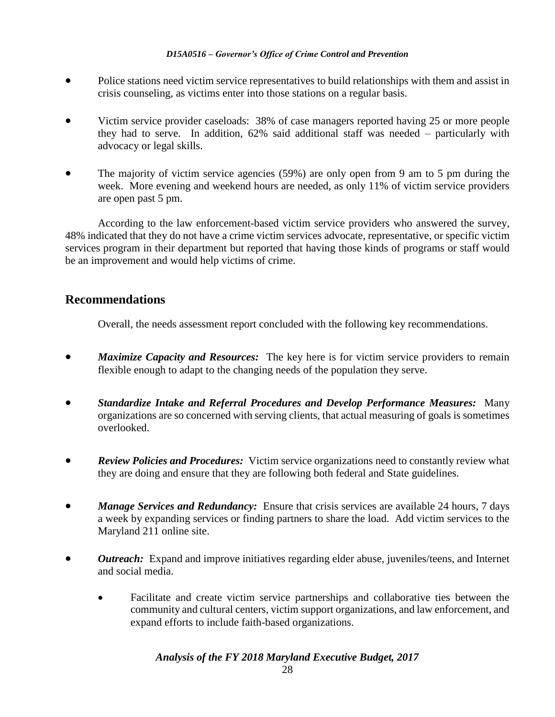- Police stations need victim service representatives to build relationships with them and assist in crisis counseling, as victims enter into those stations on a regular basis.
- Victim service provider caseloads: 38% of case managers reported having 25 or more people they had to serve. In addition, 62% said additional staff was needed – particularly with advocacy or legal skills.
- The majority of victim service agencies (59%) are only open from 9 am to 5 pm during the week. More evening and weekend hours are needed, as only 11% of victim service providers are open past 5 pm.

According to the law enforcement-based victim service providers who answered the survey, 48% indicated that they do not have a crime victim services advocate, representative, or specific victim services program in their department but reported that having those kinds of programs or staff would be an improvement and would help victims of crime.

### **Recommendations**

Overall, the needs assessment report concluded with the following key recommendations.

- *Maximize Capacity and Resources:* The key here is for victim service providers to remain flexible enough to adapt to the changing needs of the population they serve.
- *Standardize Intake and Referral Procedures and Develop Performance Measures:* Many organizations are so concerned with serving clients, that actual measuring of goals is sometimes overlooked.
- *Review Policies and Procedures:* Victim service organizations need to constantly review what they are doing and ensure that they are following both federal and State guidelines.
- *Manage Services and Redundancy:* Ensure that crisis services are available 24 hours, 7 days a week by expanding services or finding partners to share the load. Add victim services to the Maryland 211 online site.
- *Outreach:* Expand and improve initiatives regarding elder abuse, juveniles/teens, and Internet and social media.
	- Facilitate and create victim service partnerships and collaborative ties between the community and cultural centers, victim support organizations, and law enforcement, and expand efforts to include faith-based organizations.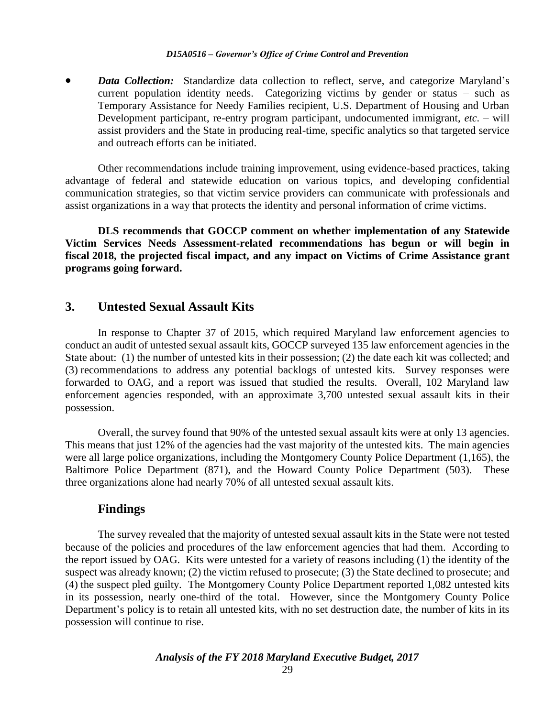*Data Collection:* Standardize data collection to reflect, serve, and categorize Maryland's current population identity needs. Categorizing victims by gender or status – such as Temporary Assistance for Needy Families recipient, U.S. Department of Housing and Urban Development participant, re-entry program participant, undocumented immigrant, *etc.* – will assist providers and the State in producing real-time, specific analytics so that targeted service and outreach efforts can be initiated.

Other recommendations include training improvement, using evidence-based practices, taking advantage of federal and statewide education on various topics, and developing confidential communication strategies, so that victim service providers can communicate with professionals and assist organizations in a way that protects the identity and personal information of crime victims.

**DLS recommends that GOCCP comment on whether implementation of any Statewide Victim Services Needs Assessment-related recommendations has begun or will begin in fiscal 2018, the projected fiscal impact, and any impact on Victims of Crime Assistance grant programs going forward.**

#### **3. Untested Sexual Assault Kits**

In response to Chapter 37 of 2015, which required Maryland law enforcement agencies to conduct an audit of untested sexual assault kits, GOCCP surveyed 135 law enforcement agencies in the State about: (1) the number of untested kits in their possession; (2) the date each kit was collected; and (3) recommendations to address any potential backlogs of untested kits. Survey responses were forwarded to OAG, and a report was issued that studied the results. Overall, 102 Maryland law enforcement agencies responded, with an approximate 3,700 untested sexual assault kits in their possession.

Overall, the survey found that 90% of the untested sexual assault kits were at only 13 agencies. This means that just 12% of the agencies had the vast majority of the untested kits. The main agencies were all large police organizations, including the Montgomery County Police Department (1,165), the Baltimore Police Department (871), and the Howard County Police Department (503). These three organizations alone had nearly 70% of all untested sexual assault kits.

### **Findings**

The survey revealed that the majority of untested sexual assault kits in the State were not tested because of the policies and procedures of the law enforcement agencies that had them. According to the report issued by OAG. Kits were untested for a variety of reasons including (1) the identity of the suspect was already known; (2) the victim refused to prosecute; (3) the State declined to prosecute; and (4) the suspect pled guilty. The Montgomery County Police Department reported 1,082 untested kits in its possession, nearly one-third of the total. However, since the Montgomery County Police Department's policy is to retain all untested kits, with no set destruction date, the number of kits in its possession will continue to rise.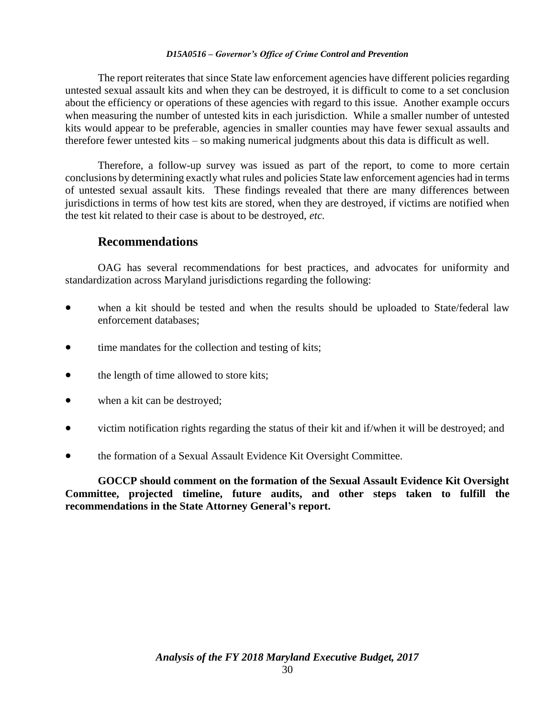The report reiterates that since State law enforcement agencies have different policies regarding untested sexual assault kits and when they can be destroyed, it is difficult to come to a set conclusion about the efficiency or operations of these agencies with regard to this issue. Another example occurs when measuring the number of untested kits in each jurisdiction. While a smaller number of untested kits would appear to be preferable, agencies in smaller counties may have fewer sexual assaults and therefore fewer untested kits – so making numerical judgments about this data is difficult as well.

Therefore, a follow-up survey was issued as part of the report, to come to more certain conclusions by determining exactly what rules and policies State law enforcement agencies had in terms of untested sexual assault kits. These findings revealed that there are many differences between jurisdictions in terms of how test kits are stored, when they are destroyed, if victims are notified when the test kit related to their case is about to be destroyed, *etc.*

#### **Recommendations**

OAG has several recommendations for best practices, and advocates for uniformity and standardization across Maryland jurisdictions regarding the following:

- when a kit should be tested and when the results should be uploaded to State/federal law enforcement databases;
- time mandates for the collection and testing of kits;
- the length of time allowed to store kits;
- when a kit can be destroyed;
- victim notification rights regarding the status of their kit and if/when it will be destroyed; and
- the formation of a Sexual Assault Evidence Kit Oversight Committee.

**GOCCP should comment on the formation of the Sexual Assault Evidence Kit Oversight Committee, projected timeline, future audits, and other steps taken to fulfill the recommendations in the State Attorney General's report.**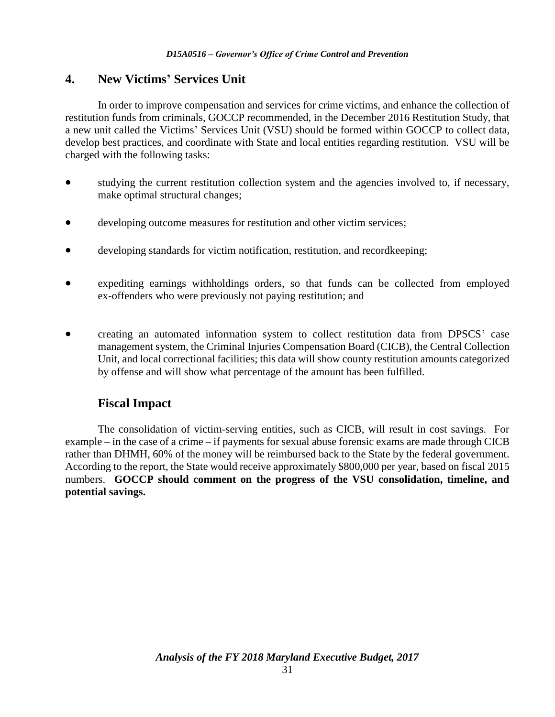### **4. New Victims' Services Unit**

In order to improve compensation and services for crime victims, and enhance the collection of restitution funds from criminals, GOCCP recommended, in the December 2016 Restitution Study, that a new unit called the Victims' Services Unit (VSU) should be formed within GOCCP to collect data, develop best practices, and coordinate with State and local entities regarding restitution. VSU will be charged with the following tasks:

- studying the current restitution collection system and the agencies involved to, if necessary, make optimal structural changes;
- developing outcome measures for restitution and other victim services;
- developing standards for victim notification, restitution, and recordkeeping;
- expediting earnings withholdings orders, so that funds can be collected from employed ex-offenders who were previously not paying restitution; and
- creating an automated information system to collect restitution data from DPSCS' case management system, the Criminal Injuries Compensation Board (CICB), the Central Collection Unit, and local correctional facilities; this data will show county restitution amounts categorized by offense and will show what percentage of the amount has been fulfilled.

### **Fiscal Impact**

The consolidation of victim-serving entities, such as CICB, will result in cost savings. For example – in the case of a crime – if payments for sexual abuse forensic exams are made through CICB rather than DHMH, 60% of the money will be reimbursed back to the State by the federal government. According to the report, the State would receive approximately \$800,000 per year, based on fiscal 2015 numbers. **GOCCP should comment on the progress of the VSU consolidation, timeline, and potential savings.**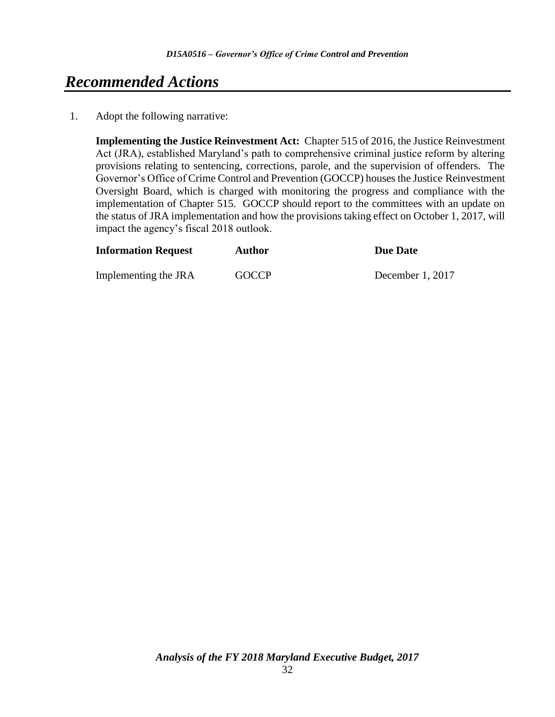# *Recommended Actions*

1. Adopt the following narrative:

**Implementing the Justice Reinvestment Act:** Chapter 515 of 2016, the Justice Reinvestment Act (JRA), established Maryland's path to comprehensive criminal justice reform by altering provisions relating to sentencing, corrections, parole, and the supervision of offenders. The Governor's Office of Crime Control and Prevention (GOCCP) houses the Justice Reinvestment Oversight Board, which is charged with monitoring the progress and compliance with the implementation of Chapter 515. GOCCP should report to the committees with an update on the status of JRA implementation and how the provisions taking effect on October 1, 2017, will impact the agency's fiscal 2018 outlook.

| <b>Information Request</b> | <b>Author</b> | <b>Due Date</b>    |
|----------------------------|---------------|--------------------|
| Implementing the JRA       | <b>GOCCP</b>  | December 1, $2017$ |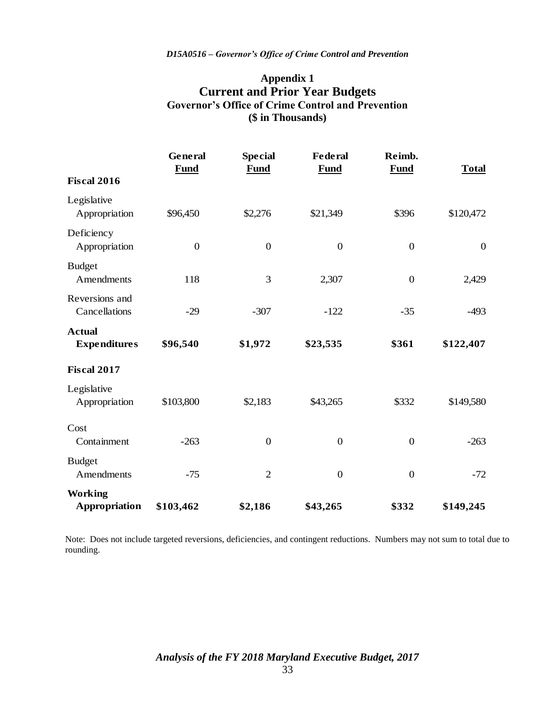### **Appendix 1 Current and Prior Year Budgets Governor's Office of Crime Control and Prevention (\$ in Thousands)**

|                                      | General<br><b>Fund</b> | <b>Special</b><br><b>Fund</b> | <b>Federal</b><br><b>Fund</b> | Reimb.<br><b>Fund</b> | <b>Total</b>     |
|--------------------------------------|------------------------|-------------------------------|-------------------------------|-----------------------|------------------|
| <b>Fiscal 2016</b>                   |                        |                               |                               |                       |                  |
| Legislative<br>Appropriation         | \$96,450               | \$2,276                       | \$21,349                      | \$396                 | \$120,472        |
| Deficiency<br>Appropriation          | $\boldsymbol{0}$       | $\boldsymbol{0}$              | $\boldsymbol{0}$              | $\boldsymbol{0}$      | $\boldsymbol{0}$ |
| <b>Budget</b><br>Amendments          | 118                    | 3                             | 2,307                         | $\boldsymbol{0}$      | 2,429            |
| Reversions and<br>Cancellations      | $-29$                  | $-307$                        | $-122$                        | $-35$                 | $-493$           |
| <b>Actual</b><br><b>Expenditures</b> | \$96,540               | \$1,972                       | \$23,535                      | \$361                 | \$122,407        |
| Fiscal 2017                          |                        |                               |                               |                       |                  |
| Legislative<br>Appropriation         | \$103,800              | \$2,183                       | \$43,265                      | \$332                 | \$149,580        |
| Cost<br>Containment                  | $-263$                 | $\boldsymbol{0}$              | $\mathbf{0}$                  | $\boldsymbol{0}$      | $-263$           |
| <b>Budget</b><br>Amendments          | $-75$                  | $\overline{2}$                | $\mathbf{0}$                  | $\boldsymbol{0}$      | $-72$            |
| <b>Working</b><br>Appropriation      | \$103,462              | \$2,186                       | \$43,265                      | \$332                 | \$149,245        |

Note: Does not include targeted reversions, deficiencies, and contingent reductions. Numbers may not sum to total due to rounding.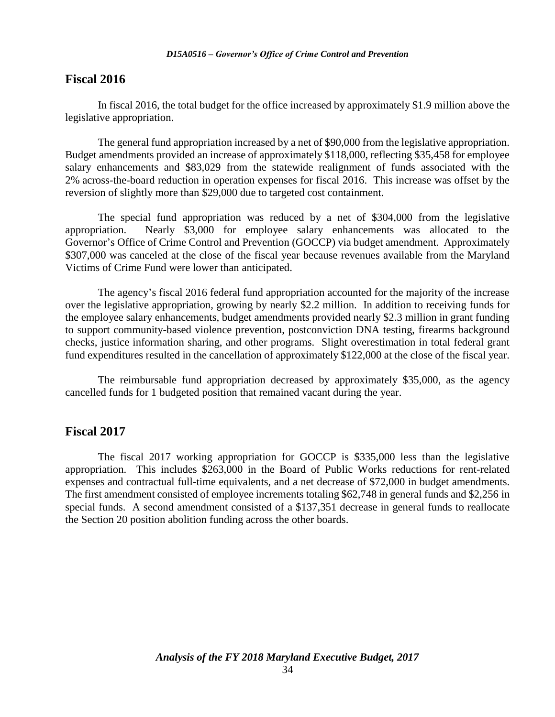#### **Fiscal 2016**

In fiscal 2016, the total budget for the office increased by approximately \$1.9 million above the legislative appropriation.

The general fund appropriation increased by a net of \$90,000 from the legislative appropriation. Budget amendments provided an increase of approximately \$118,000, reflecting \$35,458 for employee salary enhancements and \$83,029 from the statewide realignment of funds associated with the 2% across-the-board reduction in operation expenses for fiscal 2016. This increase was offset by the reversion of slightly more than \$29,000 due to targeted cost containment.

The special fund appropriation was reduced by a net of \$304,000 from the legislative appropriation. Nearly \$3,000 for employee salary enhancements was allocated to the Governor's Office of Crime Control and Prevention (GOCCP) via budget amendment. Approximately \$307,000 was canceled at the close of the fiscal year because revenues available from the Maryland Victims of Crime Fund were lower than anticipated.

The agency's fiscal 2016 federal fund appropriation accounted for the majority of the increase over the legislative appropriation, growing by nearly \$2.2 million. In addition to receiving funds for the employee salary enhancements, budget amendments provided nearly \$2.3 million in grant funding to support community-based violence prevention, postconviction DNA testing, firearms background checks, justice information sharing, and other programs. Slight overestimation in total federal grant fund expenditures resulted in the cancellation of approximately \$122,000 at the close of the fiscal year.

The reimbursable fund appropriation decreased by approximately \$35,000, as the agency cancelled funds for 1 budgeted position that remained vacant during the year.

#### **Fiscal 2017**

The fiscal 2017 working appropriation for GOCCP is \$335,000 less than the legislative appropriation. This includes \$263,000 in the Board of Public Works reductions for rent-related expenses and contractual full-time equivalents, and a net decrease of \$72,000 in budget amendments. The first amendment consisted of employee increments totaling \$62,748 in general funds and \$2,256 in special funds. A second amendment consisted of a \$137,351 decrease in general funds to reallocate the Section 20 position abolition funding across the other boards.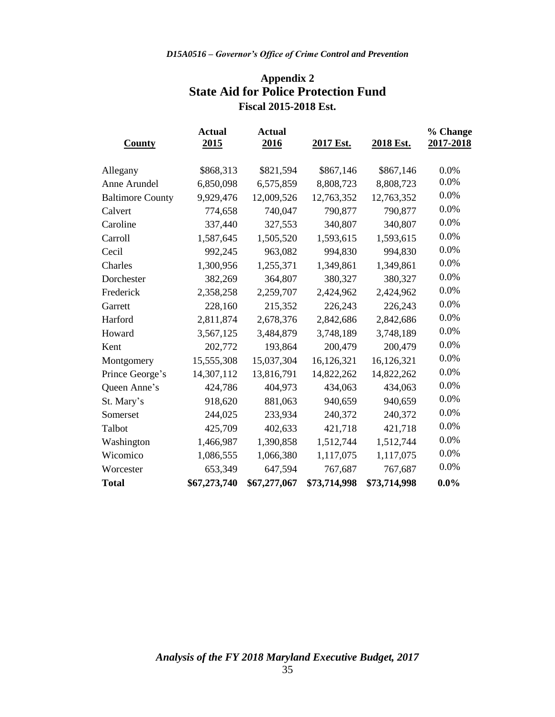### **Appendix 2 State Aid for Police Protection Fund Fiscal 2015-2018 Est.**

| <b>Actual</b> | <b>Actual</b> |              |              | % Change  |
|---------------|---------------|--------------|--------------|-----------|
|               |               |              |              | 2017-2018 |
| \$868,313     | \$821,594     | \$867,146    | \$867,146    | 0.0%      |
| 6,850,098     | 6,575,859     | 8,808,723    | 8,808,723    | 0.0%      |
| 9,929,476     | 12,009,526    | 12,763,352   | 12,763,352   | 0.0%      |
| 774,658       | 740,047       | 790,877      | 790,877      | 0.0%      |
| 337,440       | 327,553       | 340,807      | 340,807      | 0.0%      |
| 1,587,645     | 1,505,520     | 1,593,615    | 1,593,615    | 0.0%      |
| 992,245       | 963,082       | 994,830      | 994,830      | 0.0%      |
| 1,300,956     | 1,255,371     | 1,349,861    | 1,349,861    | 0.0%      |
| 382,269       | 364,807       | 380,327      | 380,327      | 0.0%      |
| 2,358,258     | 2,259,707     | 2,424,962    | 2,424,962    | 0.0%      |
| 228,160       | 215,352       | 226,243      | 226,243      | 0.0%      |
| 2,811,874     | 2,678,376     | 2,842,686    | 2,842,686    | 0.0%      |
| 3,567,125     | 3,484,879     | 3,748,189    | 3,748,189    | 0.0%      |
| 202,772       | 193,864       | 200,479      | 200,479      | 0.0%      |
| 15,555,308    | 15,037,304    | 16,126,321   | 16,126,321   | 0.0%      |
| 14,307,112    | 13,816,791    | 14,822,262   | 14,822,262   | 0.0%      |
| 424,786       | 404,973       | 434,063      | 434,063      | 0.0%      |
| 918,620       | 881,063       | 940,659      | 940,659      | 0.0%      |
| 244,025       | 233,934       | 240,372      | 240,372      | 0.0%      |
| 425,709       | 402,633       | 421,718      | 421,718      | 0.0%      |
| 1,466,987     | 1,390,858     | 1,512,744    | 1,512,744    | 0.0%      |
| 1,086,555     | 1,066,380     | 1,117,075    | 1,117,075    | 0.0%      |
| 653,349       | 647,594       | 767,687      | 767,687      | 0.0%      |
| \$67,273,740  | \$67,277,067  | \$73,714,998 | \$73,714,998 | $0.0\%$   |
|               | 2015          | 2016         | 2017 Est.    | 2018 Est. |